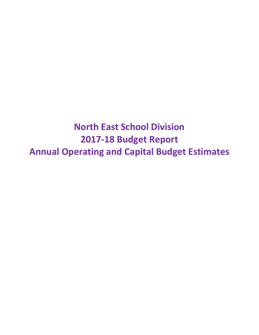**North East School Division 2017-18 Budget Report Annual Operating and Capital Budget Estimates**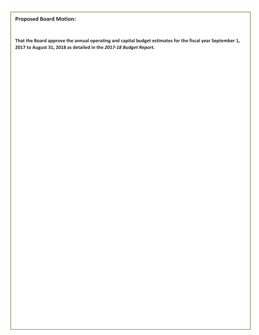# **Proposed Board Motion:**

**That the Board approve the annual operating and capital budget estimates for the fiscal year September 1, 2017 to August 31, 2018 as detailed in the** *2017-18 Budget Report***.**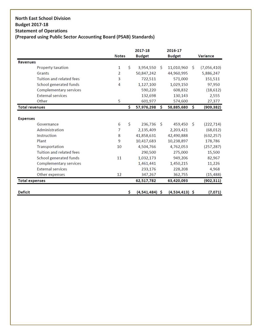# **North East School Division Budget 2017-18 Statement of Operations**

## **(Prepared using Public Sector Accounting Board (PSAB) Standards)**

|                       |                                 | <b>Notes</b> |     | 2017-18<br><b>Budget</b> |              | 2016-17<br><b>Budget</b> |     | <b>Variance</b> |
|-----------------------|---------------------------------|--------------|-----|--------------------------|--------------|--------------------------|-----|-----------------|
| <b>Revenues</b>       |                                 |              |     |                          |              |                          |     |                 |
|                       | <b>Property taxation</b>        | 1            | \$  | 3,954,550                | -Ŝ           | 11,010,960               | -Ŝ  | (7,056,410)     |
|                       | Grants                          | 2            |     | 50,847,242               |              | 44,960,995               |     | 5,886,247       |
|                       | Tuition and related fees        | 3            |     | 722,511                  |              | 571,000                  |     | 151,511         |
|                       | School generated funds          | 4            |     | 1,127,100                |              | 1,029,150                |     | 97,950          |
|                       | <b>Complementary services</b>   |              |     | 590,220                  |              | 608,832                  |     | (18, 612)       |
|                       | <b>External services</b>        |              |     | 132,698                  |              | 130,143                  |     | 2,555           |
|                       | Other                           | 5            |     | 601,977                  |              | 574,600                  |     | 27,377          |
| <b>Total revenues</b> |                                 |              | \$. | 57,976,298               | Ŝ.           | 58,885,680               | \$  | (909, 382)      |
|                       |                                 |              |     |                          |              |                          |     |                 |
| <b>Expenses</b>       |                                 |              |     |                          |              |                          |     |                 |
|                       | Governance                      | 6            | Ś.  | 236,736                  | <sup>S</sup> | 459,450                  | - Ś | (222, 714)      |
|                       | Administration                  | 7            |     | 2,135,409                |              | 2,203,421                |     | (68, 012)       |
|                       | Instruction                     | 8            |     | 41,858,631               |              | 42,490,888               |     | (632, 257)      |
|                       | Plant                           | 9            |     | 10,417,683               |              | 10,238,897               |     | 178,786         |
|                       | Transportation                  | 10           |     | 4,504,766                |              | 4,762,053                |     | (257, 287)      |
|                       | <b>Tuition and related fees</b> |              |     | 290,500                  |              | 275,000                  |     | 15,500          |
|                       | School generated funds          | 11           |     | 1,032,173                |              | 949,206                  |     | 82,967          |
|                       | <b>Complementary services</b>   |              |     | 1,461,441                |              | 1,450,215                |     | 11,226          |
|                       | <b>External services</b>        |              |     | 233,176                  |              | 228,208                  |     | 4,968           |
|                       | Other expenses                  | 12           |     | 347,267                  |              | 362,755                  |     | (15, 488)       |
| <b>Total expenses</b> |                                 |              |     | 62,517,782               |              | 63,420,093               |     | (902, 311)      |
| <b>Deficit</b>        |                                 |              | \$  | $(4,541,484)$ \$         |              | $(4,534,413)$ \$         |     | (7,071)         |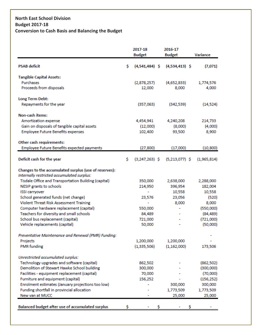### **North East School Division Budget 2017-18 Conversion to Cash Basis and Balancing the Budget**

|                                                       | 2017-18 |                  |  | 2016-17          |             |
|-------------------------------------------------------|---------|------------------|--|------------------|-------------|
|                                                       |         | <b>Budget</b>    |  | <b>Budget</b>    | Variance    |
| <b>PSAB deficit</b>                                   | \$      | $(4,541,484)$ \$ |  | $(4,534,413)$ \$ | (7,071)     |
|                                                       |         |                  |  |                  |             |
| <b>Tangible Capital Assets:</b>                       |         |                  |  |                  |             |
| Purchases                                             |         | (2,878,257)      |  | (4,652,833)      | 1,774,576   |
| Proceeds from disposals                               |         | 12,000           |  | 8,000            | 4,000       |
| Long Term Debt:                                       |         |                  |  |                  |             |
| Repayments for the year                               |         | (357,063)        |  | (342, 539)       | (14, 524)   |
| Non-cash items:                                       |         |                  |  |                  |             |
| <b>Amortization expense</b>                           |         | 4,454,941        |  | 4,240,208        | 214,733     |
| Gain on disposals of tangible capital assets          |         | (12,000)         |  | (8,000)          | (4,000)     |
| <b>Employee Future Benefits expenses</b>              |         | 102,400          |  | 93,500           | 8,900       |
|                                                       |         |                  |  |                  |             |
| Other cash requirements:                              |         |                  |  |                  |             |
| Employee Future Benefits expected payments            |         | (27, 800)        |  | (17,000)         | (10, 800)   |
| Deficit cash for the year                             | s       | $(3,247,263)$ \$ |  | $(5,213,077)$ \$ | (1,965,814) |
|                                                       |         |                  |  |                  |             |
| Changes to the accumulated surplus (use of reserves): |         |                  |  |                  |             |
| Internally restricted accumulated surplus:            |         |                  |  |                  |             |
| Tisdale Office and Transportation Building (capital)  |         | 350,000          |  | 2,638,000        | 2,288,000   |
| NESIP grants to schools                               |         | 214,950          |  | 396,954          | 182,004     |
| <b>ISSI carryover</b>                                 |         |                  |  | 10,558           | 10,558      |
| School generated funds (net change)                   |         | 23,576           |  | 23,056           | (520)       |
| Violent Threat Risk Assessment Training               |         |                  |  | 8,000            | 8,000       |
| Computer hardware replacement (capital)               |         | 550,000          |  |                  | (550,000)   |
| Teachers for diversity and small schools              |         | 84,489           |  |                  | (84, 489)   |
| School bus replacement (capital)                      |         | 721,000          |  |                  | (721,000)   |
| Vehicle replacements (capital)                        |         | 50,000           |  |                  | (50,000)    |
| Preventative Maintenance and Renewal (PMR) Fundina:   |         |                  |  |                  |             |
| Projects                                              |         | 1,200,000        |  | 1,200,000        |             |
| <b>PMR</b> funding                                    |         | (1, 335, 506)    |  | (1, 162, 000)    | 173,506     |
| Unrestricted accumulated surplus:                     |         |                  |  |                  |             |
| Technology upgrades and software (capital)            |         | 862,502          |  |                  | (862, 502)  |
| Demolition of Stewart Hawke School building           |         | 300,000          |  |                  | (300,000)   |
| Facilities - equipment replacement (capital)          |         | 70,000           |  |                  | (70,000)    |
| Furniture and equipment (capital)                     |         | 156,252          |  |                  | (156, 252)  |
| Enrolment estimates (January projections too low)     |         |                  |  | 300,000          | 300,000     |
| Funding shortfall in provincial allocation            |         |                  |  | 1,773,509        | 1,773,509   |
| New van at MUCC                                       |         |                  |  | 25,000           | 25,000      |
|                                                       |         |                  |  |                  |             |
| Balanced budget after use of accumulated surplus      |         |                  |  |                  |             |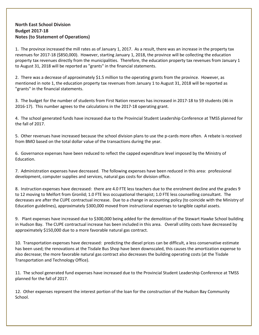### **North East School Division Budget 2017-18 Notes (to Statement of Operations)**

1. The province increased the mill rates as of January 1, 2017. As a result, there was an increase in the property tax revenues for 2017-18 (\$850,000). However, starting January 1, 2018, the province will be collecting the education property tax revenues directly from the municipalities. Therefore, the education property tax revenues from January 1 to August 31, 2018 will be reported as "grants" in the financial statements.

2. There was a decrease of approximately \$1.5 million to the operating grants from the province. However, as mentioned in note 1, the education property tax revenues from January 1 to August 31, 2018 will be reported as "grants" in the financial statements.

3. The budget for the number of students from First Nation reserves has increased in 2017-18 to 59 students (46 in 2016-17). This number agrees to the calculations in the 2017-18 operating grant.

4. The school generated funds have increased due to the Provincial Student Leadership Conference at TMSS planned for the fall of 2017.

5. Other revenues have increased because the school division plans to use the p-cards more often. A rebate is received from BMO based on the total dollar value of the transactions during the year.

6. Governance expenses have been reduced to reflect the capped expenditure level imposed by the Ministry of Education.

7. Administration expenses have decreased. The following expenses have been reduced in this area: professional development, computer supplies and services, natural gas costs for division office.

8. Instruction expenses have decreased: there are 4.0 FTE less teachers due to the enrolment decline and the grades 9 to 12 moving to Melfort from Gronlid; 1.0 FTE less occupational therapist; 1.0 FTE less counselling consultant. The decreases are after the CUPE contractual increase. Due to a change in accounting policy (to coincide with the Ministry of Education guidelines), approximately \$300,000 moved from instructional expenses to tangible capital assets.

9. Plant expenses have increased due to \$300,000 being added for the demolition of the Stewart Hawke School building in Hudson Bay. The CUPE contractual increase has been included in this area. Overall utility costs have decreased by approximately \$150,000 due to a more favorable natural gas contract.

10. Transportation expenses have decreased: predicting the diesel prices can be difficult, a less conservative estimate has been used; the renovations at the Tisdale Bus Shop have been downscaled, this causes the amortization expense to also decrease; the more favorable natural gas contract also decreases the building operating costs (at the Tisdale Transportation and Technology Office).

11. The school generated fund expenses have increased due to the Provincial Student Leadership Conference at TMSS planned for the fall of 2017.

12. Other expenses represent the interest portion of the loan for the construction of the Hudson Bay Community School.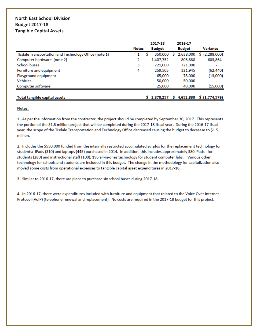### **North East School Division Budget 2017-18 Tangible Capital Assets**

|                                                       |              | 2017-18       |   | 2016-17       |                          |
|-------------------------------------------------------|--------------|---------------|---|---------------|--------------------------|
|                                                       | <b>Notes</b> | <b>Budget</b> |   | <b>Budget</b> | <b>Variance</b>          |
| Tisdale Transportation and Technology Office (note 1) | 1            | 350,000       |   | 2,638,000     | \$ (2,288,000)           |
| Computer hardware (note 2)                            | 2            | 1,407,752     |   | 803,888       | 603,864                  |
| <b>School buses</b>                                   | 3            | 721,000       |   | 721,000       |                          |
| Furniture and equipment                               | 4            | 259,505       |   | 321,945       | (62, 440)                |
| Playground equipment                                  |              | 65,000        |   | 78,000        | (13,000)                 |
| <b>Vehicles</b>                                       |              | 50,000        |   | 50,000        |                          |
| Computer software                                     |              | 25,000        |   | 40,000        | (15,000)                 |
|                                                       |              |               |   |               |                          |
| Total tangible capital assets                         |              | \$2,878,257   | s |               | 4,652,833 \$ (1,774,576) |

#### Notes:

1. As per the information from the contractor, the project should be completed by September 30, 2017. This represents the portion of the \$1.5 million project that will be completed during the 2017-18 fiscal year. During the 2016-17 fiscal year, the scope of the Tisdale Transportation and Technology Office decreased causing the budget to decrease to \$1.5 million.

2. Includes the \$550,000 funded from the internally restricted accumulated surplus for the replacement technology for students: iPads (310) and laptops (445) purchased in 2014. In addition, this includes approximately 380 iPads - for students (280) and instructional staff (100); 195 all-in-ones technology for student computer labs. Various other technology for schools and students are included in this budget. The change in the methodology for capitalization also moved some costs from operational expenses to tangible capital asset expenditures in 2017-18.

3. Similar to 2016-17, there are plans to purchase six school buses during 2017-18.

4. In 2016-17, there were expenditures included with furniture and equipment that related to the Voice Over Internet Protocol (VoIP) (telephone renewal and replacement). No costs are required in the 2017-18 budget for this project.